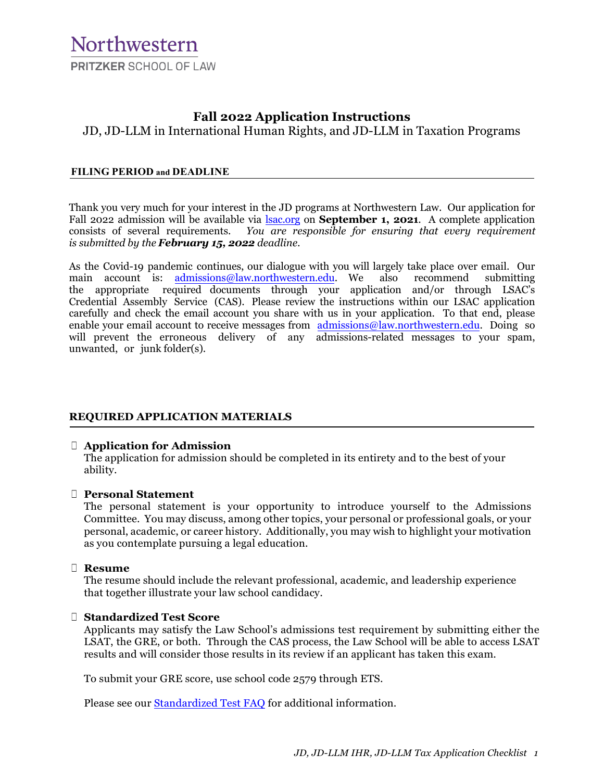# **Fall 2022 Application Instructions**

JD, JD-LLM in International Human Rights, and JD-LLM in Taxation Programs

### **FILING PERIOD and DEADLINE**

Thank you very much for your interest in the JD programs at Northwestern Law. Our application for Fall 2022 admission will be available via **[lsac.org](https://lsacsso.b2clogin.com/8a958e4e-8c1b-4522-9e31-9559a8021c38/B2C_1A_Login/oauth2/v2.0/authorize?client_id=fa06a2cb-f29c-4715-9bc7-10f1d4b49d78&response_type=code&redirect_uri=https://os.lsac.org/Logon/Access.aspx&scope=openid&nonce=lsac.aadb2c&state=dda8b43ed5e84b868e0fca5ba914bcbe&prompt=login)** on **September 1, 2021**. A complete application consists of several requirements. You are responsible for ensuring that every requirement consists of several requirements. *You are responsible for ensuring that every requirement is submitted by the February 15, 2022 deadline.*

As the Covid-19 pandemic continues, our dialogue with you will largely take place over email. Our main account is: admissions@law.northwestern.edu. We also recommend submitting the appropriate required documents through your application and/or through LSAC's Credential Assembly Service (CAS). Please review the instructions within our LSAC application carefully and check the email account you share with us in your application. To that end, please [enable your email account to receiv](mailto:admissions@law.northwestern.edu)e messages from [admissions@law.northwestern.edu.](mailto:admissions@law.northwestern.edu) Doing so will prevent the erroneous delivery of any admissions-related messages to your spam, unwanted, or junk folder(s).

### **REQUIRED APPLICATION MATERIALS**

#### ☐ **Application for Admission**

The application for admission should be completed in its entirety and to the best of your ability.

### ☐ **Personal Statement**

The personal statement is your opportunity to introduce yourself to the Admissions Committee. You may discuss, among other topics, your personal or professional goals, or your personal, academic, or career history. Additionally, you may wish to highlight your motivation as you contemplate pursuing a legal education.

#### ☐ **Resume**

The resume should include the relevant professional, academic, and leadership experience that together illustrate your law school candidacy.

#### ☐ **Standardized Test Score**

Applicants may satisfy the Law School's admissions test requirement by submitting either the LSAT, the GRE, or both. Through the CAS process, the Law School will be able to access LSAT results and will consider those results in its review if an applicant has taken this exam.

To submit your GRE score, use school code 2579 through ETS.

Please see our [Standardized Test FAQ](https://www.law.northwestern.edu/admissions/faq/faqjd.html#TEST) for additional information.